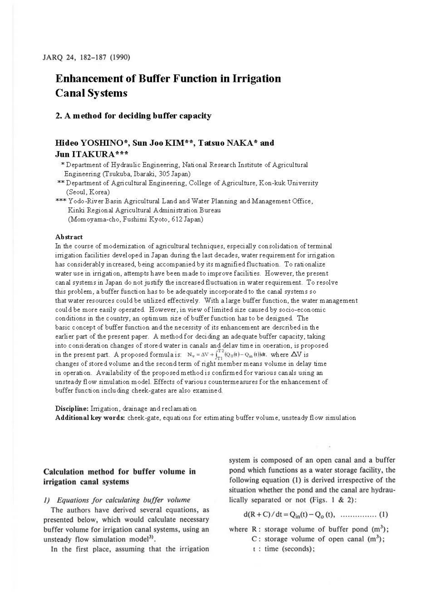# **Enhancement of Buffer Function in Irrigation Canal Systems**

#### **2. A method for deciding buffer capacity**

## **Hideo YOSIIlNO\*, Sun Joo KIM\*\*, Tatsuo NAKA \* and Jun ITAKURA** \*\*\*

- '"Department of Hydraulic Engineering, National Research Institute of Agricultural Engineering (Tsukuba, Ibaraki, 305 Japan)
- \*\* Department of Agricultural Engineering, College of Agriculture, Kon-kuk University (Seoul, Korea)
- \*\*\* Yodo-River Basin Agricultural Land and Water Planning and Management Office, Kinki Regional Agricultural Administration Bureau (Momoyama-cho, Fushimi Kyoto, 612 Japan)

#### **Abstract**

In the course of modernization of agricultural techniques, especially consolidation of terminal irrigation facilities developed in Japan during the last decades, water requirement for irrigation has considerably increased, being accompanied by its magnified fluctuation. To rationalize water use in irrigation, attempts have been made to improve facilities. However, the present canal systems in Japan do not justify the increased fluctuation in water requirement. To resolve this problem, a buffer function has to be adequately incorporated to the canal systems so that water resources could be utilized effectively. With a large buffer function, the water management could be more easily operated. However, in view oflimited size caused by socio-economic conditions in the country, an optimum size of buffer function has to be designed. The basic concept of buffer function and the necessity of its enhancement are described in the earlier part of the present paper. A method for deciding an adequate buffer capacity, taking into consideration changes of stored water in canals and delav time in ooeration, is proposed in the present part. A proposed formula is:  $N_v = \Delta V + \int_{T_1}^{T_2} (Q_0(t) - Q_{in}(t)) dt$ , where  $\Delta V$  is changes of stored volume and the second term of right member means volume in delay time in operation. Availability of the proposed method is confirmed for various canals using an unsteady flow simulation model. Effects of various countermeasures for the enhancement of buffer function including cheek-gates are also examined.

**Discipline:** Irrigation, drainage and reclamation **Additional key words:** cheek-gate, equations for estimating buffer volume, unsteady flow simulation

### **Calculation method for buffer volume in irrigation canal systems**

J) *Equations for calculating buffer volume* 

The authors have derived several equations, as presented below, which would calculate necessary buffer volume for irrigation canal systems, using an unsteady flow simulation model<sup>3)</sup>.

In the first place, assuming that the irrigation

system is composed of an open canal and a buffer pond which functions as a water storage facility, the following equation (I) is derived irrespective of the situation whether the pond and the canal are hydraulically separated or not (Figs. I & 2):

d(R+C) / dt=Q;11(t) - Q0 (t), ......... ...... **(I)** 

where R : storage volume of buffer pond  $(m<sup>3</sup>)$ ;

- C : storage volume of open canal  $(m<sup>3</sup>)$ ;
- t : time (seconds);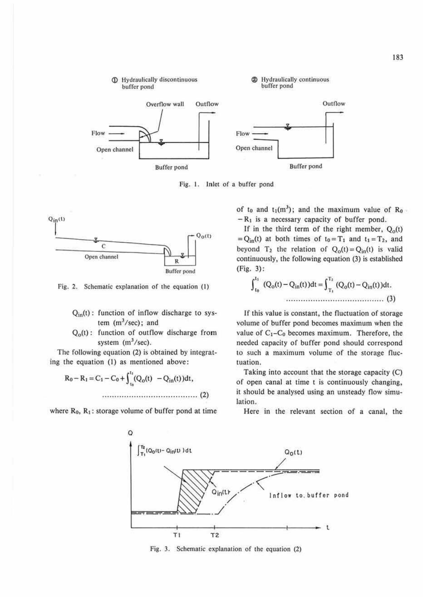

Fig. I. Inlet of a buffer pond



Fig. 2. Schematic explanation of the equation (I)

- $Q_{in}(t)$ : function of inflow discharge to system  $(m^3/sec)$ ; and
- $Q<sub>o</sub>(t)$ : function of outflow discharge from system  $(m^3/sec)$ .

The following equation (2) is obtained by integrat-

ing 1he equation (I) as mentioned above: Ro - Rt= C1 - Co+ r (Q0 (1) - Q;0 (1) )dt, ,, . "" .... " ............... . " .... . "". (2)

where  $R_0$ ,  $R_1$ : storage volume of buffer pond at time

of t<sub>0</sub> and  $t_1(m^3)$ ; and the maximum value of  $R_0$  $-R_1$  is a necessary capacity of buffer pond.

If in the third term of the right member,  $Q_0(t)$  $= Q_{in}(t)$  at both times of  $t_0 = T_1$  and  $t_1 = T_2$ , and beyond T<sub>2</sub> the relation of  $Q_0(t) = Q_{in}(t)$  is valid continuously, the following equation (3) is established (Fig. 3) :

$$
\int_{t_0}^{t_1} (Q_0(t) - Q_{in}(t))dt = \int_{T_1}^{T_2} (Q_0(t) - Q_{in}(t))dt.
$$
\n(3)

If this value is constant, the fluctuation of storage volume of buffer pond becomes maximum when the value of  $C_1 - C_0$  becomes maximum. Therefore, the needed capacity of buffer pond should correspond to such a maximum volume of the storage fluctuation.

Taking into account that the storage capacity (C) of open canal at time t is continuously changing, it should be analysed using an unsteady flow simulation.

Here in the relevant section of a canal, the



Fig. 3. Schematic explanation of the equation (2)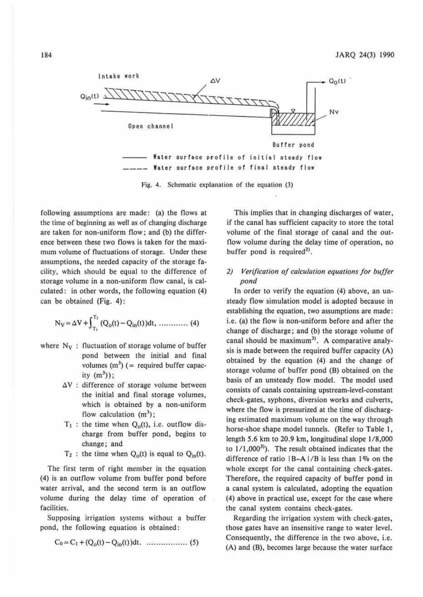

Fig. 4. Schematic explanation of the equation (3)

following assumptions are made: (a) the flows at the time of beginning as well as of changing discharge are taken for non-uniform flow; and (b) the difference between these two flows is taken for the maximum volume of fluctuations of storage. Under these assumptions, the needed capacity of the storage fa. cility, which should be equal to the difference of storage volume in a non-uniform flow canal, is calculated: in other words, the following equation (4) can be obtained (Fig. 4):

$$
N_V = \Delta V + \int_{T_1}^{T_2} (Q_0(t) - Q_{in}(t)) dt, \ \dots \dots \dots \dots \tag{4}
$$

- where  $N_V$ : fluctuation of storage volume of buffer pond between the initial and final volumes  $(m<sup>3</sup>)$  (= required buffer capacity  $(m^3)$ :
	- $\Delta V$  : difference of storage volume between the initial and final storage volumes, which is obtained by a non-uniform flow calculation  $(m^3)$ ;
	- $T_1$ : the time when  $Q_0(t)$ , i.e. outflow discharge from buffer pond, begins to change; and
	- $T_2$ : the time when  $Q_0(t)$  is equal to  $Q_{in}(t)$ .

The first term of right member in the equation (4) is an outflow volume from buffer pond before water arrival, and the second term is an outflow volume during the delay time of operation of facilities.

Supposing irrigation systems without a buffer pond, the following equation is obtained:

$$
C_0 = C_1 + (Q_0(t) - Q_{in}(t))dt.
$$
 ....... (5)

This implies that in changing discharges of water, if the canal has sufficient capacity to store the total volume of the final storage of canal and the outflow volume during the delay time of operation, no buffer pond is required<sup>2)</sup>.

#### *2) Verification of calculation equations for buffer pond*

In order to verify the equation (4) above, an unsteady flow simulation model is adopted because in establishing the equation, two assumptions are made: i.e. (a) the flow is non-uniform before and after the change of discharge; and (b) the storage volume of canal should be maximum<sup>3)</sup>. A comparative analysis is made between the required buffer capacity (A) obtained by the equation (4) and the change of storage volume of buffer pond (B) obtained on the basis of an unsteady flow model. The model used consists of canals containing upstream-level-constant check-gates, syphons, diversion works and culverts, where the flow is pressurized at the time of discharging estimated maximum volume on the way through horse-shoe shape model tunnels. (Refer to Table I, length 5.6 km to 20.9 km, longitudinal slope 1/8,000 to  $1/1,000^{3}$ ). The result obtained indicates that the difference of ratio  $|B-A|/B$  is less than  $1\%$  on the whole except for the canal containing check-gates. Therefore, the required capacity of buffer pond in a canal system is calculated, adopting the equation (4) above in practical use, except for the case where the canal system contains check-gates.

Regarding the irrigation system with check-gates, those gates have an insensitive range to water level. Consequently, the difference in the two above, i.e. (A) and (B), becomes large because the water surface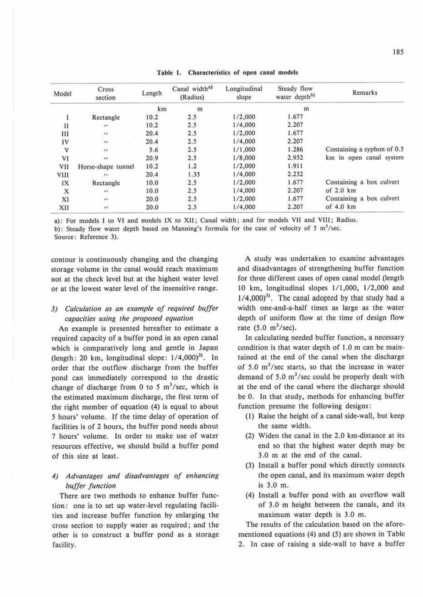| Model                     | Cross<br>section   | Length | Canal width <sup>a)</sup><br>(Radius) | Longitudinal<br>slope | Steady flow<br>water depth <sup>b)</sup> | Remarks                    |
|---------------------------|--------------------|--------|---------------------------------------|-----------------------|------------------------------------------|----------------------------|
|                           |                    | km     | m                                     |                       | m                                        |                            |
|                           | Rectangle          | 10.2   | 2.5                                   | 1/2,000               | 1.677                                    |                            |
| $_{\rm II}$               | $\bullet$          | 10.2   | 2.5                                   | 1/4,000               | 2.207                                    |                            |
| Ш                         | $\mathbf{r}$       | 20.4   | 2.5                                   | 1/2,000               | 1.677                                    |                            |
| IV                        | $\epsilon\epsilon$ | 20.4   | 2.5                                   | 1/4,000               | 2.207                                    |                            |
| V                         | $\epsilon$         | 5.6    | 2.5                                   | 1/1,000               | 1.286                                    | Containing a syphon of 0.5 |
| VI                        | $\bullet$          | 20.9   | 2.5                                   | 1/8,000               | 2.932                                    | km in open canal system    |
| VII                       | Horse-shape tunnel | 10.2   | 1.2                                   | 1/2,000               | 1.911                                    |                            |
| VIII                      | 7.7                | 20.4   | 1.35                                  | 1/4,000               | 2.232                                    |                            |
| IX                        | Rectangle          | 10.0   | 2.5                                   | 1/2,000               | 1.677                                    | Containing a box culvert   |
| $\boldsymbol{\mathsf{x}}$ | $\overline{1}$     | 10.0   | 2.5                                   | 1/4,000               | 2.207                                    | of $2.0 \text{ km}$        |
| XI                        | $\cdots$           | 20.0   | 2.5                                   | 1/2,000               | 1.677                                    | Containing a box culvert   |
| XII                       | $\epsilon$         | 20.0   | 2.5                                   | 1/4,000               | 2.207                                    | of $4.0$ km                |

Table 1. Characteristics of open canal models

a): For models I to VI and models IX to XII; Canal width; and for models VII and VIII; Radius.

b): Steady flow water depth based on Manning's formula for the case of velocity of 5 m<sup>3</sup>/sec.

Source: Reference 3).

contour is continuously changing and the changing storage volume in the canal would reach maximum not at the check level but at the highest water level or at the lowest water level of the insensitive range.

### *3) Calculation as an example of required buffer capacities using the proposed equation*

An example is presented hereafter to estimate a required capacity of a buffer pond in an open canal which is comparatively long and gentle in Japan (length: 20 km, longitudinal slope:  $1/4,000$ )<sup>3)</sup>. In order that the outflow discharge from the buffer pond can immediately correspond to the drastic change of discharge from 0 to 5  $\mathrm{m}^3/\mathrm{sec}$ , which is the estimated maximum discharge, the first term of the right member of equation (4) is equal to about 5 hours' volume. If the time delay of operation of facilities is of 2 hours, the buffer pond needs about 7 hours' volume. In order to make use of water resources effective, we should build a buffer pond of this size at least.

### *4) Advantages and disadvan1ages of enhancing buffer function*

There are two methods to enhance buffer function: one is to set up water-level regulating facilities and increase buffer function by enlarging the cross section to supply water as required; and the other is to construct a buffer pond as a storage facility.

A study was undertaken to examine advantages and disadvantages of strengthening buffer function for three different cases of open canal model (length 10 km, longitudinal slopes 1/1,000, 1/2,000 and  $1/4,000$ <sup>3)</sup>. The canal adopted by that study had a width one-and-a-half times as large as the water depth of uniform flow at the time of design flow rate  $(5.0 \text{ m}^3/\text{sec})$ .

In calculating needed buffer function, a necessary condition is that water depth of 1.0 m can be maintained at the end of the canal when the discharge of 5.0  $m<sup>3</sup>/sec$  starts, so that the increase in water demand of  $5.0 \text{ m}^3/\text{sec}$  could be properly dealt with at the end of the canal where the discharge should be 0. In that study, methods for enhancing buffer function presume the following designs:

- (1) Raise the height of a canal side-wall, but keep the same width.
- (2) Widen the canal in the 2.0 km-distance at its end so that the highest water depth may be 3.0 m at the end of the canal.
- (3) Install a buffer pond which directly connects the open canal, and its maximum water depth is 3.0 m.
- (4) Install a buffer pond with an overflow wall of 3.0 m height between the canals, and its maximum water depth is 3.0 m.

The results of the calculation based on the aforementioned equations (4) and (5) are shown in Table 2. In case of raising a side-wall to have a buffer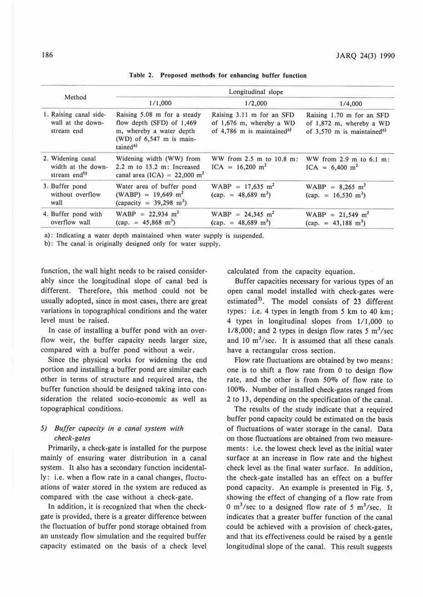|                                                                     | Longitudinal slope                                                                                                                         |                                                                                                 |                                                                                                              |  |  |
|---------------------------------------------------------------------|--------------------------------------------------------------------------------------------------------------------------------------------|-------------------------------------------------------------------------------------------------|--------------------------------------------------------------------------------------------------------------|--|--|
| Method                                                              | 1/1,000                                                                                                                                    | 1/2,000                                                                                         | 1/4,000<br>Raising 1.70 m for an SFD<br>of 1,872 m, whereby a WD<br>of $3,570$ m is maintained <sup>a)</sup> |  |  |
| 1. Raising canal side-<br>wall at the down-<br>stream end           | Raising 5.08 m for a steady<br>flow depth (SFD) of 1,469<br>m, whereby a water depth<br>(WD) of $6,547$ m is main-<br>tained <sup>a)</sup> | Raising 3.11 m for an SFD<br>of 1,676 m, whereby a WD<br>of 4,786 m is maintained <sup>a)</sup> |                                                                                                              |  |  |
| 2. Widening canal<br>width at the down-<br>stream end <sup>b)</sup> | Widening width (WW) from<br>$2.2$ m to $13.2$ m: Increased<br>canal area (ICA) = $22,000 \text{ m}^2$                                      | WW from 2.5 m to 10.8 m:<br>$ICA = 16,200$ m <sup>2</sup>                                       | WW from $2.9$ m to $6.1$ m:<br>$ICA = 6,400$ m <sup>2</sup>                                                  |  |  |
| 3. Buffer pond<br>without overflow<br>wall                          | Water area of buffer pond<br>$(WABP) = 19,649$ m <sup>2</sup><br>(capacity = $39,298$ m <sup>3</sup> )                                     | $WABP = 17,635$ m <sup>2</sup><br>$(cap. = 48,689 \text{ m}^3)$                                 | $WABP = 8,265 \text{ m}^2$<br>$\text{(cap.} = 16,530 \text{ m}^3)$                                           |  |  |
| 4. Buffer pond with<br>overflow wall                                | $WABP = 22,934$ m <sup>2</sup><br>$(cap. = 45,868 \text{ m}^3)$                                                                            | $WABP = 24,345$ m <sup>2</sup><br>$(cap. = 48,689 \text{ m}^3)$                                 | $WABP = 21,549$ m <sup>2</sup><br>$(\text{cap.} = 43,188 \text{ m}^3)$                                       |  |  |

Table 2. Proposed methods for enhancing buffer function

a): Indicating a water depth maintained when water supply is suspended.

b): The canal is originally designed only for water supply.

function, the wall hight needs to be raised considerably since the longitudinal slope of canal bed is different. Therefore, this method could not be usually adopted, since in most cases, there are great variations in topographical conditions and the water level must be raised.

In case of installing a buffer pond with an overflow weir, the buffer capacity needs larger size, compared with a buffer pond without a weir.

Since the physical works for widening the end portion and installing a buffer pond are similar each other in terms of structure and required area, the buffer function should be designed taking into consideration the related socio-economic as well as topographical conditions.

#### *5) Buffer capacity in a canal system with check-gates*

Primarily, a check-gate is installed for the purpose mainly of ensuring water distribution in a canal system. It also has a secondary function incidentally: i.e. when a flow rate in a canal changes, fluctuations of water stored in the system are reduced as compared with the case without a check-gate.

In addition, it is recognized that when the checkgate is provided, there is a greater difference between the fluctuation of buffer pond storage obtained from an unsteady flow simulation and the required buffer capacity estimated on the basis of a check level calculated from the capacity equation.

Buffer capacities necessary for various types of an open canal model installed with check-gates were estimated<sup>3)</sup>. The model consists of 23 different types: i.e. 4 types in length from *5* km to 40 km; 4 types in longitudinal slopes from I/ 1,000 to  $1/8,000$ ; and 2 types in design flow rates 5  $\text{m}^3/\text{sec}$ and 10  $\mathrm{m}^3/\mathrm{sec}$ . It is assumed that all these canals have a rectangular cross section.

Flow rate fluctuations are obtained by two means: one is to shift a flow rate from 0 to design flow rate, and the other is from 50% of flow rate to 100%. Number of installed check-gates ranged from 2 to 13, depending on the specification of the canal.

The results of the study indicate that a required buffer pond capacity could be estimated on the basis of fluctuations of water storage in the canal. Data on those fluctuations are obtained from two measurements: i.e. the lowest check Jevel as the initial water surface at an increase in flow rate and the highest. check level as the final water surface. In addition, the check-gate installed has an effect on a buffer pond capacity. An example is presented in Fig. *5,*  showing the effect of changing of a flow rate from 0 m<sup>3</sup>/sec to a designed flow rate of 5 m<sup>3</sup>/sec. It indicates that a greater buffer function of the canal could be achieved with a provision of check-gates, and that its effectiveness could be raised by a gentle longitudinal slope of the canal. This result suggests